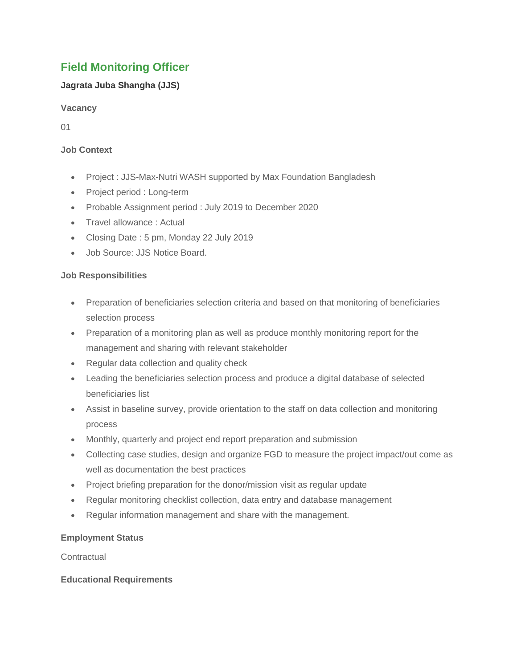# **Field Monitoring Officer**

# **Jagrata Juba Shangha (JJS)**

**Vacancy**

01

# **Job Context**

- Project : JJS-Max-Nutri WASH supported by Max Foundation Bangladesh
- Project period : Long-term
- Probable Assignment period : July 2019 to December 2020
- Travel allowance : Actual
- Closing Date : 5 pm, Monday 22 July 2019
- Job Source: JJS Notice Board.

## **Job Responsibilities**

- Preparation of beneficiaries selection criteria and based on that monitoring of beneficiaries selection process
- Preparation of a monitoring plan as well as produce monthly monitoring report for the management and sharing with relevant stakeholder
- Regular data collection and quality check
- Leading the beneficiaries selection process and produce a digital database of selected beneficiaries list
- Assist in baseline survey, provide orientation to the staff on data collection and monitoring process
- Monthly, quarterly and project end report preparation and submission
- Collecting case studies, design and organize FGD to measure the project impact/out come as well as documentation the best practices
- Project briefing preparation for the donor/mission visit as regular update
- Regular monitoring checklist collection, data entry and database management
- Regular information management and share with the management.

## **Employment Status**

**Contractual** 

## **Educational Requirements**